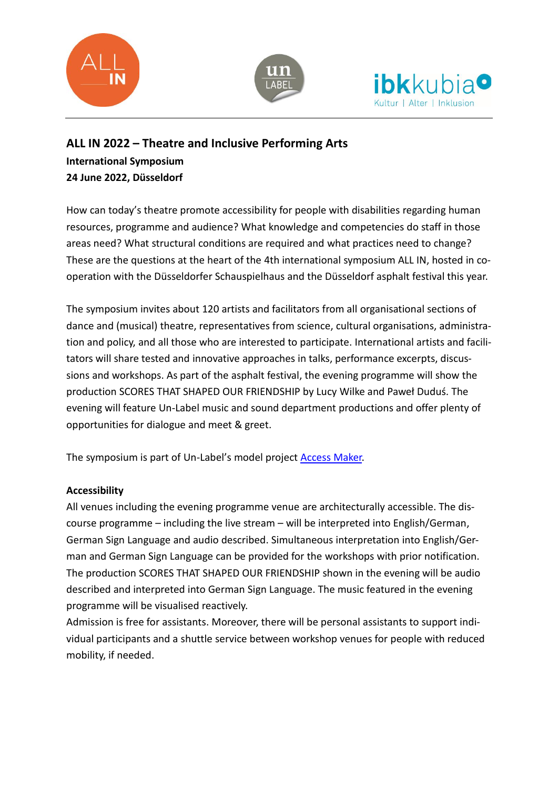





# **ALL IN 2022 – Theatre and Inclusive Performing Arts International Symposium 24 June 2022, Düsseldorf**

How can today's theatre promote accessibility for people with disabilities regarding human resources, programme and audience? What knowledge and competencies do staff in those areas need? What structural conditions are required and what practices need to change? These are the questions at the heart of the 4th international symposium ALL IN, hosted in cooperation with the Düsseldorfer Schauspielhaus and the Düsseldorf asphalt festival this year.

The symposium invites about 120 artists and facilitators from all organisational sections of dance and (musical) theatre, representatives from science, cultural organisations, administration and policy, and all those who are interested to participate. International artists and facilitators will share tested and innovative approaches in talks, performance excerpts, discussions and workshops. As part of the asphalt festival, the evening programme will show the production SCORES THAT SHAPED OUR FRIENDSHIP by Lucy Wilke and Paweł Duduś. The evening will feature Un-Label music and sound department productions and offer plenty of opportunities for dialogue and meet & greet.

The symposium is part of Un-Label's model project [Access Maker.](https://un-label.eu/project/access-maker/)

#### **Accessibility**

All venues including the evening programme venue are architecturally accessible. The discourse programme – including the live stream – will be interpreted into English/German, German Sign Language and audio described. Simultaneous interpretation into English/German and German Sign Language can be provided for the workshops with prior notification. The production SCORES THAT SHAPED OUR FRIENDSHIP shown in the evening will be audio described and interpreted into German Sign Language. The music featured in the evening programme will be visualised reactively.

Admission is free for assistants. Moreover, there will be personal assistants to support individual participants and a shuttle service between workshop venues for people with reduced mobility, if needed.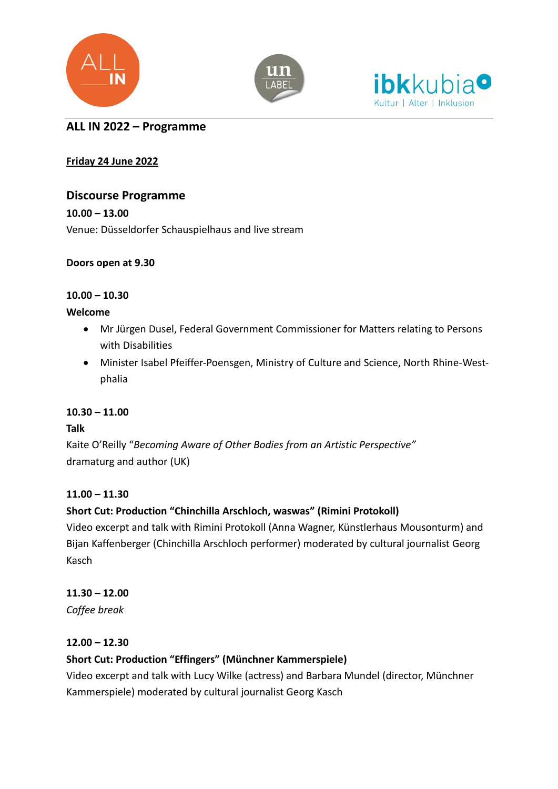





# **ALL IN 2022 – Programme**

# **Friday 24 June 2022**

# **Discourse Programme**

**10.00 – 13.00** Venue: Düsseldorfer Schauspielhaus and live stream

**Doors open at 9.30**

### **10.00 – 10.30**

#### **Welcome**

- Mr Jürgen Dusel, Federal Government Commissioner for Matters relating to Persons with Disabilities
- Minister Isabel Pfeiffer-Poensgen, Ministry of Culture and Science, North Rhine-Westphalia

# **10.30 – 11.00**

# **Talk**

Kaite O'Reilly "*Becoming Aware of Other Bodies from an Artistic Perspective"* dramaturg and author (UK)

# **11.00 – 11.30**

# **Short Cut: Production "Chinchilla Arschloch, waswas" (Rimini Protokoll)**

Video excerpt and talk with Rimini Protokoll (Anna Wagner, Künstlerhaus Mousonturm) and Bijan Kaffenberger (Chinchilla Arschloch performer) moderated by cultural journalist Georg Kasch

# **11.30 – 12.00**

*Coffee break*

# **12.00 – 12.30**

# **Short Cut: Production "Effingers" (Münchner Kammerspiele)**

Video excerpt and talk with Lucy Wilke (actress) and Barbara Mundel (director, Münchner Kammerspiele) moderated by cultural journalist Georg Kasch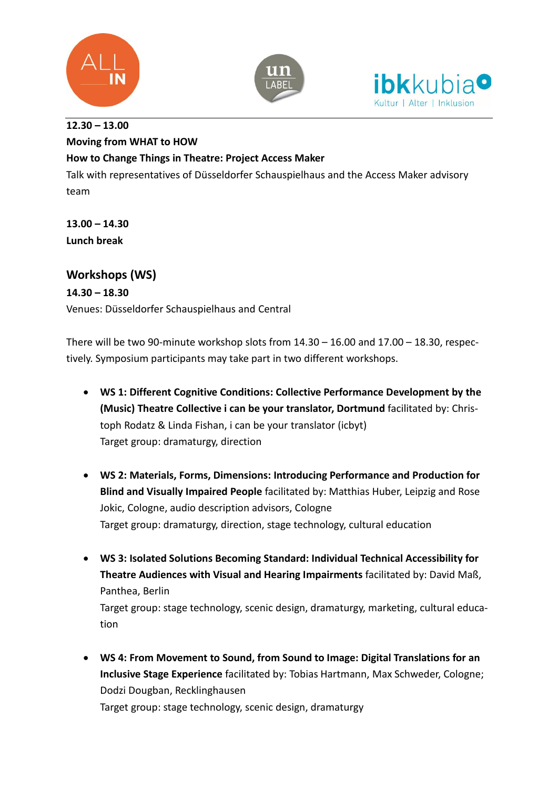





# **12.30 – 13.00 Moving from WHAT to HOW How to Change Things in Theatre: Project Access Maker** Talk with representatives of Düsseldorfer Schauspielhaus and the Access Maker advisory

team

**13.00 – 14.30 Lunch break**

# **Workshops (WS)**

# **14.30 – 18.30** Venues: Düsseldorfer Schauspielhaus and Central

There will be two 90-minute workshop slots from 14.30 – 16.00 and 17.00 – 18.30, respectively. Symposium participants may take part in two different workshops.

- **WS 1: Different Cognitive Conditions: Collective Performance Development by the (Music) Theatre Collective i can be your translator, Dortmund** facilitated by: Christoph Rodatz & Linda Fishan, i can be your translator (icbyt) Target group: dramaturgy, direction
- **WS 2: Materials, Forms, Dimensions: Introducing Performance and Production for Blind and Visually Impaired People** facilitated by: Matthias Huber, Leipzig and Rose Jokic, Cologne, audio description advisors, Cologne Target group: dramaturgy, direction, stage technology, cultural education
- **WS 3: Isolated Solutions Becoming Standard: Individual Technical Accessibility for Theatre Audiences with Visual and Hearing Impairments** facilitated by: David Maß, Panthea, Berlin Target group: stage technology, scenic design, dramaturgy, marketing, cultural education
- **WS 4: From Movement to Sound, from Sound to Image: Digital Translations for an Inclusive Stage Experience** facilitated by: Tobias Hartmann, Max Schweder, Cologne; Dodzi Dougban, Recklinghausen Target group: stage technology, scenic design, dramaturgy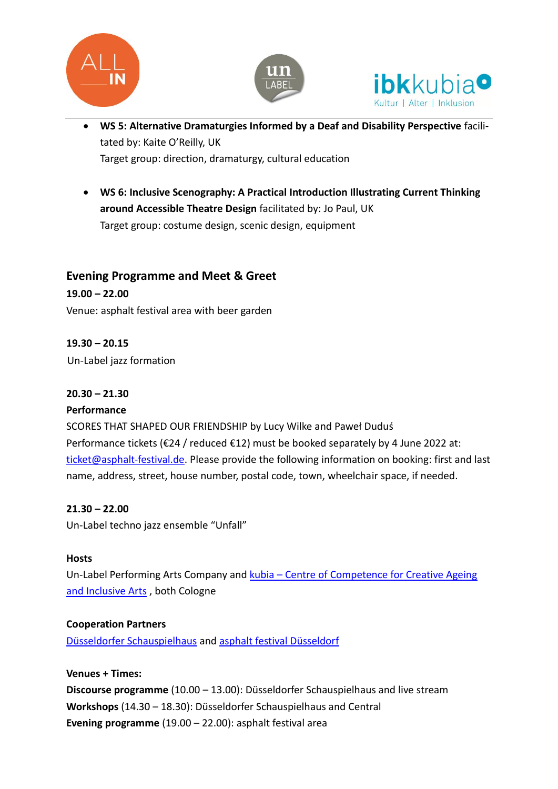





- **WS 5: Alternative Dramaturgies Informed by a Deaf and Disability Perspective** facilitated by: Kaite O'Reilly, UK Target group: direction, dramaturgy, cultural education
- **WS 6: Inclusive Scenography: A Practical Introduction Illustrating Current Thinking around Accessible Theatre Design** facilitated by: Jo Paul, UK Target group: costume design, scenic design, equipment

# **Evening Programme and Meet & Greet**

**19.00 – 22.00** Venue: asphalt festival area with beer garden

### **19.30 – 20.15**

Un-Label jazz formation

#### **20.30 – 21.30**

#### **Performance**

SCORES THAT SHAPED OUR FRIENDSHIP by Lucy Wilke and Paweł Duduś Performance tickets (€24 / reduced €12) must be booked separately by 4 June 2022 at: [ticket@asphalt-festival.de.](mailto:ticket@asphalt-festival.de) Please provide the following information on booking: first and last name, address, street, house number, postal code, town, wheelchair space, if needed.

#### **21.30 – 22.00**

Un-Label techno jazz ensemble "Unfall"

#### **Hosts**

Un-Label Performing Arts Company and kubia – [Centre of Competence for Creative Ageing](https://ibk-kubia.de/)  [and Inclusive Arts](https://ibk-kubia.de/), both Cologne

#### **Cooperation Partners**

[Düsseldorfer Schauspielhaus](https://www.dhaus.de/) and [asphalt festival Düsseldorf](https://www.asphalt-festival.de/)

**Venues + Times: Discourse programme** (10.00 – 13.00): Düsseldorfer Schauspielhaus and live stream **Workshops** (14.30 – 18.30): Düsseldorfer Schauspielhaus and Central **Evening programme** (19.00 – 22.00): asphalt festival area